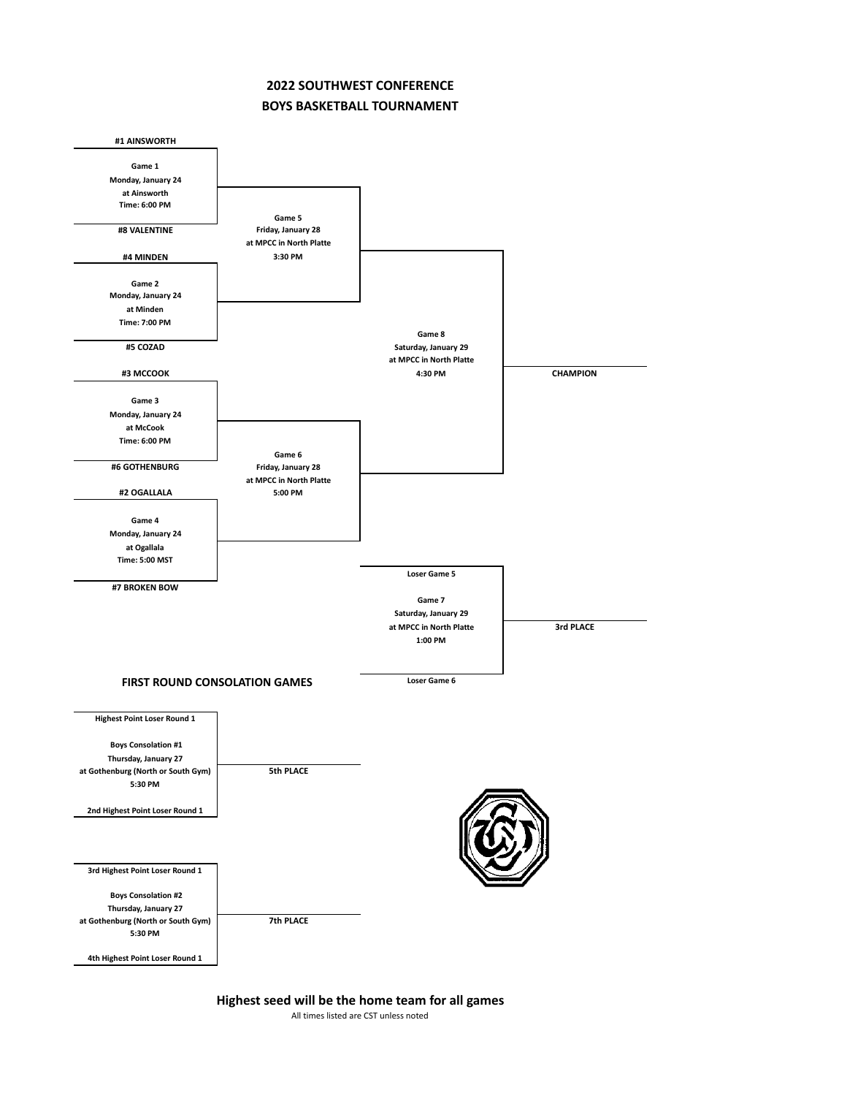## **2022 SOUTHWEST CONFERENCE BOYS BASKETBALL TOURNAMENT**



**Highest seed will be the home team for all games**

All times listed are CST unless noted